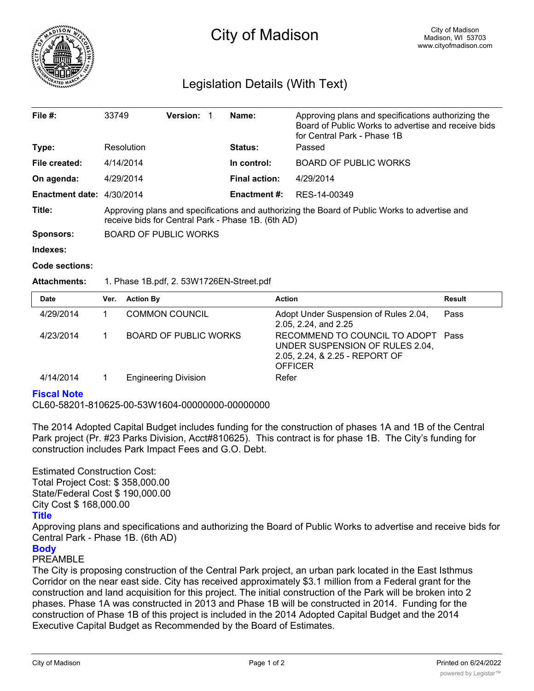

# City of Madison

## Legislation Details (With Text)

| File $#$ :             | 33749                                                                                                                                               | <b>Version:</b> |  | Name:                | Approving plans and specifications authorizing the<br>Board of Public Works to advertise and receive bids<br>for Central Park - Phase 1B |  |  |
|------------------------|-----------------------------------------------------------------------------------------------------------------------------------------------------|-----------------|--|----------------------|------------------------------------------------------------------------------------------------------------------------------------------|--|--|
| Type:                  | Resolution                                                                                                                                          |                 |  | <b>Status:</b>       | Passed                                                                                                                                   |  |  |
| File created:          | 4/14/2014                                                                                                                                           |                 |  | In control:          | <b>BOARD OF PUBLIC WORKS</b>                                                                                                             |  |  |
| On agenda:             | 4/29/2014                                                                                                                                           |                 |  | <b>Final action:</b> | 4/29/2014                                                                                                                                |  |  |
| <b>Enactment date:</b> | 4/30/2014                                                                                                                                           |                 |  | <b>Enactment #:</b>  | RES-14-00349                                                                                                                             |  |  |
| Title:                 | Approving plans and specifications and authorizing the Board of Public Works to advertise and<br>receive bids for Central Park - Phase 1B. (6th AD) |                 |  |                      |                                                                                                                                          |  |  |
| Sponsors:              | BOARD OF PUBLIC WORKS                                                                                                                               |                 |  |                      |                                                                                                                                          |  |  |
| Indexes:               |                                                                                                                                                     |                 |  |                      |                                                                                                                                          |  |  |

#### **Code sections:**

#### **Attachments:** 1. Phase 1B.pdf, 2. 53W1726EN-Street.pdf

| <b>Date</b> | Ver. | <b>Action By</b>            | <b>Action</b>                                                                                                             | Result |
|-------------|------|-----------------------------|---------------------------------------------------------------------------------------------------------------------------|--------|
| 4/29/2014   |      | <b>COMMON COUNCIL</b>       | Adopt Under Suspension of Rules 2.04,<br>2.05, 2.24, and 2.25                                                             | Pass   |
| 4/23/2014   |      | BOARD OF PUBLIC WORKS       | RECOMMEND TO COUNCIL TO ADOPT Pass<br>UNDER SUSPENSION OF RULES 2.04,<br>2.05, 2.24, & 2.25 - REPORT OF<br><b>OFFICER</b> |        |
| 4/14/2014   |      | <b>Engineering Division</b> | Refer                                                                                                                     |        |

#### **Fiscal Note**

CL60-58201-810625-00-53W1604-00000000-00000000

The 2014 Adopted Capital Budget includes funding for the construction of phases 1A and 1B of the Central Park project (Pr. #23 Parks Division, Acct#810625). This contract is for phase 1B. The City's funding for construction includes Park Impact Fees and G.O. Debt.

Estimated Construction Cost: Total Project Cost: \$ 358,000.00 State/Federal Cost \$ 190,000.00 City Cost \$ 168,000.00

#### **Title**

Approving plans and specifications and authorizing the Board of Public Works to advertise and receive bids for Central Park - Phase 1B. (6th AD)

### **Body**

#### PREAMBLE

The City is proposing construction of the Central Park project, an urban park located in the East Isthmus Corridor on the near east side. City has received approximately \$3.1 million from a Federal grant for the construction and land acquisition for this project. The initial construction of the Park will be broken into 2 phases. Phase 1A was constructed in 2013 and Phase 1B will be constructed in 2014. Funding for the construction of Phase 1B of this project is included in the 2014 Adopted Capital Budget and the 2014 Executive Capital Budget as Recommended by the Board of Estimates.